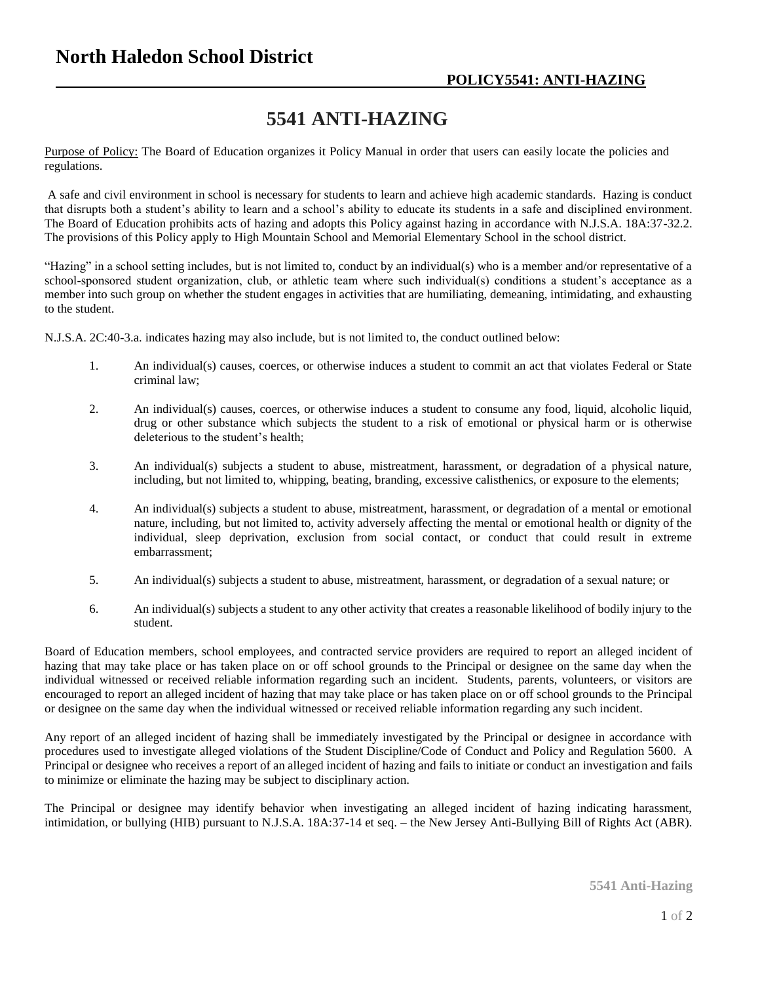## **5541 ANTI-HAZING**

Purpose of Policy: The Board of Education organizes it Policy Manual in order that users can easily locate the policies and regulations.

A safe and civil environment in school is necessary for students to learn and achieve high academic standards. Hazing is conduct that disrupts both a student's ability to learn and a school's ability to educate its students in a safe and disciplined environment. The Board of Education prohibits acts of hazing and adopts this Policy against hazing in accordance with N.J.S.A. 18A:37-32.2. The provisions of this Policy apply to High Mountain School and Memorial Elementary School in the school district.

"Hazing" in a school setting includes, but is not limited to, conduct by an individual(s) who is a member and/or representative of a school-sponsored student organization, club, or athletic team where such individual(s) conditions a student's acceptance as a member into such group on whether the student engages in activities that are humiliating, demeaning, intimidating, and exhausting to the student.

N.J.S.A. 2C:40-3.a. indicates hazing may also include, but is not limited to, the conduct outlined below:

- 1. An individual(s) causes, coerces, or otherwise induces a student to commit an act that violates Federal or State criminal law;
- 2. An individual(s) causes, coerces, or otherwise induces a student to consume any food, liquid, alcoholic liquid, drug or other substance which subjects the student to a risk of emotional or physical harm or is otherwise deleterious to the student's health;
- 3. An individual(s) subjects a student to abuse, mistreatment, harassment, or degradation of a physical nature, including, but not limited to, whipping, beating, branding, excessive calisthenics, or exposure to the elements;
- 4. An individual(s) subjects a student to abuse, mistreatment, harassment, or degradation of a mental or emotional nature, including, but not limited to, activity adversely affecting the mental or emotional health or dignity of the individual, sleep deprivation, exclusion from social contact, or conduct that could result in extreme embarrassment;
- 5. An individual(s) subjects a student to abuse, mistreatment, harassment, or degradation of a sexual nature; or
- 6. An individual(s) subjects a student to any other activity that creates a reasonable likelihood of bodily injury to the student.

Board of Education members, school employees, and contracted service providers are required to report an alleged incident of hazing that may take place or has taken place on or off school grounds to the Principal or designee on the same day when the individual witnessed or received reliable information regarding such an incident. Students, parents, volunteers, or visitors are encouraged to report an alleged incident of hazing that may take place or has taken place on or off school grounds to the Principal or designee on the same day when the individual witnessed or received reliable information regarding any such incident.

Any report of an alleged incident of hazing shall be immediately investigated by the Principal or designee in accordance with procedures used to investigate alleged violations of the Student Discipline/Code of Conduct and Policy and Regulation 5600. A Principal or designee who receives a report of an alleged incident of hazing and fails to initiate or conduct an investigation and fails to minimize or eliminate the hazing may be subject to disciplinary action.

The Principal or designee may identify behavior when investigating an alleged incident of hazing indicating harassment, intimidation, or bullying (HIB) pursuant to N.J.S.A. 18A:37-14 et seq. – the New Jersey Anti-Bullying Bill of Rights Act (ABR).

**5541 Anti-Hazing**